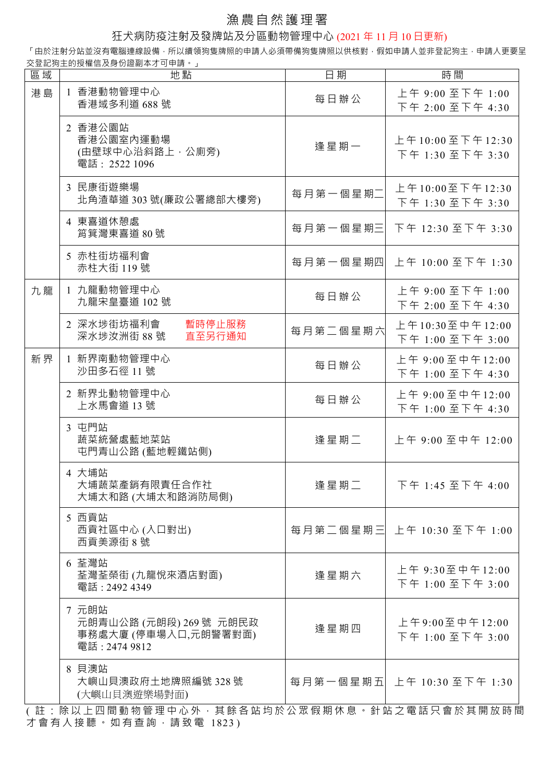## 漁農自然護理署

狂犬病防疫注射及發牌站及分區動物管理中心 (2021 年 11 月 10 日更新)

「由於注射分站並沒有電腦連線設備,所以續領狗隻牌照的申請人必須帶備狗隻牌照以供核對,假如申請人並非登記狗主,申請人更要呈 交登記狗主的授權信及身份證副本才可申請。」

| 區域 | 地點                                                                        | 日期       | 時間                                   |
|----|---------------------------------------------------------------------------|----------|--------------------------------------|
| 港島 | 1 香港動物管理中心<br>香港域多利道 688 號                                                | 每日辦公     | 上午 9:00 至下午 1:00<br>下午 2:00 至下午 4:30 |
|    | 2 香港公園站<br>香港公園室內運動場<br>(由壁球中心沿斜路上,公廁旁)<br>電話: 2522 1096                  | 逢星期一     | 上午10:00至下午12:30<br>下午 1:30 至下午 3:30  |
|    | 3 民康街遊樂場<br>北角渣華道 303 號(廉政公署總部大樓旁)                                        | 每月第一個星期二 | 上午10:00至下午12:30<br>下午 1:30 至下午 3:30  |
|    | 4 東喜道休憩處<br>筲箕灣東喜道 80號                                                    | 每月第一個星期三 | 下午 12:30 至下午 3:30                    |
|    | 5 赤柱街坊福利會<br>赤柱大街 119號                                                    |          | 每月第一個星期四 上午 10:00 至下午 1:30           |
| 九龍 | 1 九龍動物管理中心<br>九龍宋皇臺道 102號                                                 | 每日辦公     | 上午 9:00 至下午 1:00<br>下午 2:00 至下午 4:30 |
|    | 2 深水埗街坊福利會<br>暫時停止服務<br>深水埗汝洲街 88號<br>直至另行通知                              | 每月第二個星期六 | 上午10:30至中午12:00<br>下午 1:00 至下午 3:00  |
| 新界 | 1 新界南動物管理中心<br>沙田多石徑 11號                                                  | 每日辦公     | 上午 9:00至中午12:00<br>下午 1:00 至下午 4:30  |
|    | 2 新界北動物管理中心<br>上水馬會道 13號                                                  | 每日辦公     | 上午 9:00至中午12:00<br>下午 1:00 至下午 4:30  |
|    | 3 屯門站<br>蔬菜統營處藍地菜站<br>屯門青山公路 (藍地輕鐵站側)                                     | 逢星期二     | 上午 9:00 至中午 12:00                    |
|    | 4 大埔站<br>大埔蔬菜產銷有限責任合作社<br>大埔太和路 (大埔太和路消防局側)                               | 逢星期二     | 下午 1:45 至下午 4:00                     |
|    | 5 西貢站<br>西貢社區中心 (入口對出)<br>西貢美源街 8號                                        |          | 每月第二個星期三 上午 10:30 至下午 1:00           |
|    | 6 荃灣站<br>荃灣荃榮街 (九龍悅來酒店對面)<br>電話: 2492 4349                                | 逢星期六     | 上午 9:30至中午12:00<br>下午 1:00 至下午 3:00  |
|    | 7 元朗站<br>元朗青山公路 (元朗段) 269 號 元朗民政<br>事務處大廈 (停車場入口,元朗警署對面)<br>電話: 2474 9812 | 逢星期四     | 上午9:00至中午12:00<br>下午 1:00 至下午 3:00   |
|    | 8 貝澳站<br>大嶼山貝澳政府土地牌照編號 328號<br>(大嶼山貝澳遊樂場對面)                               |          | 每月第一個星期五 上午 10:30 至下午 1:30           |
|    | (註 : 除以上四間動物管理中心外 · 其餘各站均於公眾假期休息 · 針站之電話只會於其開放時間                          |          |                                      |

才會有人接聽。如有查詢,請致電 1823 )